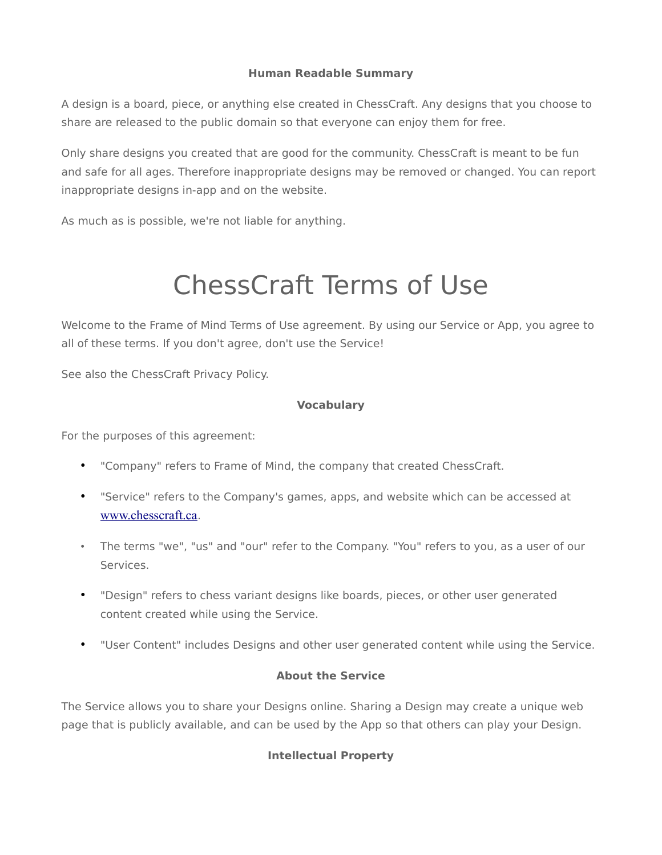## **Human Readable Summary**

A design is a board, piece, or anything else created in ChessCraft. Any designs that you choose to share are released to the public domain so that everyone can enjoy them for free.

Only share designs you created that are good for the community. ChessCraft is meant to be fun and safe for all ages. Therefore inappropriate designs may be removed or changed. You can report inappropriate designs in-app and on the website.

As much as is possible, we're not liable for anything.

# ChessCraft Terms of Use

Welcome to the Frame of Mind Terms of Use agreement. By using our Service or App, you agree to all of these terms. If you don't agree, don't use the Service!

See also the ChessCraft Privacy Policy.

## **Vocabulary**

For the purposes of this agreement:

- "Company" refers to Frame of Mind, the company that created ChessCraft.
- "Service" refers to the Company's games, apps, and website which can be accessed at [www.chesscraft.ca](http://www.chesscraft.ca/).
- The terms "we", "us" and "our" refer to the Company. "You" refers to you, as a user of our Services.
- "Design" refers to chess variant designs like boards, pieces, or other user generated content created while using the Service.
- "User Content" includes Designs and other user generated content while using the Service.

#### **About the Service**

The Service allows you to share your Designs online. Sharing a Design may create a unique web page that is publicly available, and can be used by the App so that others can play your Design.

# **Intellectual Property**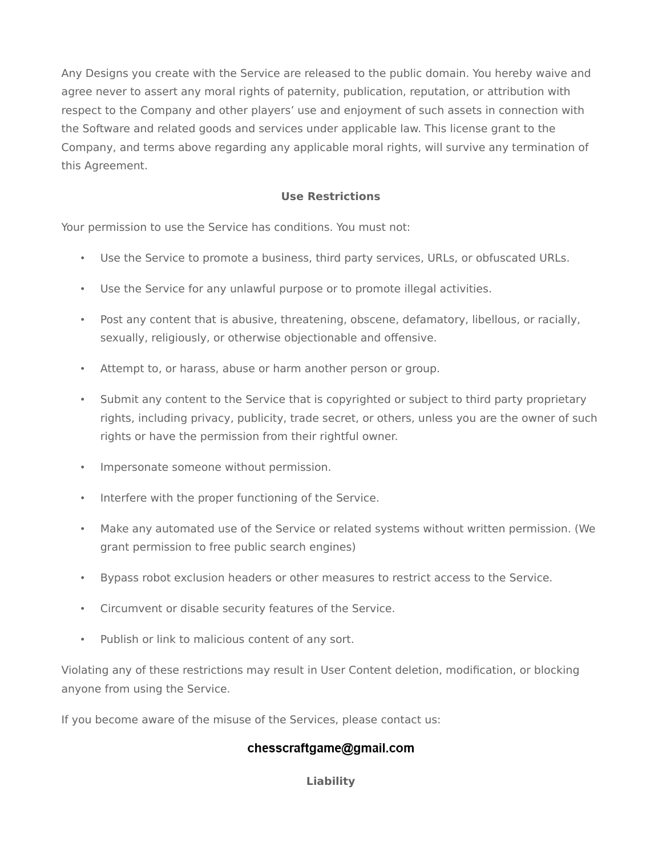Any Designs you create with the Service are released to the public domain. You hereby waive and agree never to assert any moral rights of paternity, publication, reputation, or attribution with respect to the Company and other players' use and enjoyment of such assets in connection with the Software and related goods and services under applicable law. This license grant to the Company, and terms above regarding any applicable moral rights, will survive any termination of this Agreement.

## **Use Restrictions**

Your permission to use the Service has conditions. You must not:

- Use the Service to promote a business, third party services, URLs, or obfuscated URLs.
- Use the Service for any unlawful purpose or to promote illegal activities.
- Post any content that is abusive, threatening, obscene, defamatory, libellous, or racially, sexually, religiously, or otherwise objectionable and offensive.
- Attempt to, or harass, abuse or harm another person or group.
- Submit any content to the Service that is copyrighted or subject to third party proprietary rights, including privacy, publicity, trade secret, or others, unless you are the owner of such rights or have the permission from their rightful owner.
- Impersonate someone without permission.
- Interfere with the proper functioning of the Service.
- Make any automated use of the Service or related systems without written permission. (We grant permission to free public search engines)
- Bypass robot exclusion headers or other measures to restrict access to the Service.
- Circumvent or disable security features of the Service.
- Publish or link to malicious content of any sort.

Violating any of these restrictions may result in User Content deletion, modification, or blocking anyone from using the Service.

If you become aware of the misuse of the Services, please contact us:

# chesscraftgame@gmail.com

#### **Liability**